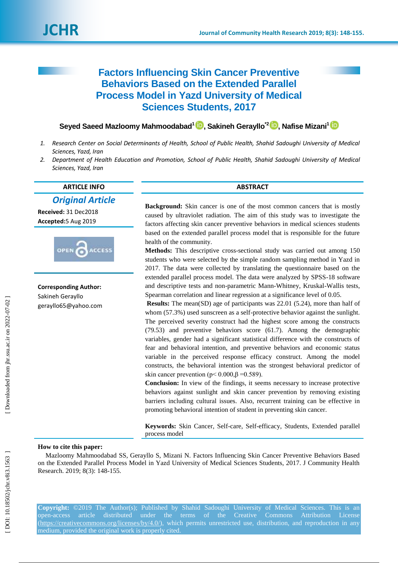

# **Factors Influencing Skin Cancer Preventive Behaviors Based on the Extended Parallel Process Model in Yazd University of Medical Sciences Students, 2017**

## $\textsf{S}$ eyed Saeed Mazloomy Mahmoodabad<sup>1</sup> D[,](https://orcid.org/0000-0002-8663-1174) Sakineh Gerayllo<sup>\*2</sup> D, Nafise Mizani<sup>1</sup>

- *1. Research Center on Social Determinants of Health, School of Public Health, Shahid Sadoughi University of Medical Sciences, Yazd, Iran*
- *2. Department of Health Education and Promotion, School of Public Health, Shahid Sadoughi University of Medical Sciences, Yazd, Iran*

**ARTICLE INFO ABSTRACT**

*Original Article*

**Received:** 31 Dec2018 **Accepted:** 5 Aug 201 9



**Corresponding Author:** Sakineh Gerayllo gerayllo65@yahoo.com

**Background:** Skin cancer is one of the most common cancers that is mostly caused by ultraviolet radiation. The aim of this study was to investigate the factors affecting skin cancer preventive behaviors in medical sciences students based on the extended parallel process model that is responsible for the future health of the community.

**Methods:** This descriptive cross -sectional study was carried out among 150 students who were selected by the simple random sampling method in Yazd in 2017. The data were collected by translating the questionnaire based on the extended parallel process model. The data were analyzed by SPSS -18 software and descriptive tests and non -parametric Mann -Whitney, Kruskal -Wallis tests, Spearman correlation and linear regression at a significance level of 0.05.

**Results:** The mean(SD) age of participants was 22.01 (5.24), more than half of whom  $(57.3%)$  used sunscreen as a self-protective behavior against the sunlight. The perceived severity construct had the highest score among the constructs (79.53) and preventive behaviors score (61.7). Among the demographic variables, gender had a significant statistical difference with the constructs of fear and behavioral intention, and preventive behaviors and economic status variable in the perceived response efficacy construct. Among the model constructs, the behavioral intention was the strongest behavioral predictor of skin cancer prevention ( $p < 0.000$ ,  $\beta = 0.589$ ).

**Conclusion:** In view of the findings, it seems necessary to increase protective behaviors against sunlight and skin cancer prevention by removing existing barriers including cultural issues. Also, recurrent training can be effective in promoting behavioral intention of student in preventing skin cancer.

Keywords: Skin Cancer, Self-care, Self-efficacy, Students, Extended parallel process model

### **How to cite this paper:**

Mazloomy Mahmoodabad SS, Gerayllo S, Mizani N. Factors Influencing Skin Cancer Preventive Behaviors Based on the Extended Parallel Process Model in Yazd University of Medical Sciences Students, 2017. J Community Health Research. 2019; 8(3): 148-155.

**Copyright:** ©2019 The Author(s); Published by Shahid Sadoughi University of Medical Sciences. This is an open-access article distributed under the terms of the Creative Commons Attribution License [\(https://creativecommons.org/licenses/by/4.0/\)](https://creativecommons.org/licenses/by/4.0/), which permits unrestricted use, distribution, and reproduction in any medium, provided the original work is properly cited.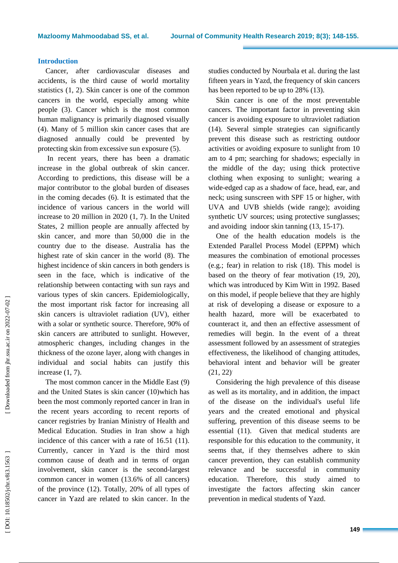#### **Introduction**

Cancer, after cardiovascular diseases and accidents, is the third cause of world mortality statistics (1, 2). Skin cancer is one of the common cancers in the world, especially among white people (3). Cancer which is the most common human malignancy is primarily diagnosed visually (4). Many of 5 million skin cancer cases that are diagnosed annually could be prevented by protecting skin from excessive sun exposure (5) .

In recent years, there has been a dramatic increase in the global outbreak of skin cancer. According to predictions, this disease will be a major contributor to the global burden of diseases in the coming decades (6). It is estimated that the incidence of various cancers in the world will increase to 20 million in 2020 (1, 7). In the United States, 2 million people are annually affected by skin cancer, and more than 50,000 die in the country due to the disease. Australia has the highest rate of skin cancer in the world (8). The highest incidence of skin cancers in both genders is seen in the face, which is indicative of the relationship between contacting with sun rays and various types of skin cancers. Epidemiologically, the most important risk factor for increasing all skin cancers is ultraviolet radiation (UV), either with a solar or synthetic source. Therefore, 90% of skin cancers are attributed to sunlight. However, atmospheric changes, including changes in the thickness of the ozone layer, along with changes in individual and social habits can justify this increase (1, 7) .

The most common cancer in the Middle East (9) and the United States is skin cancer (10)which has been the most commonly reported cancer in Iran in the recent years according to recent reports of cancer registries by Iranian Ministry of Health and Medical Education. Studies in Iran show a high incidence of this cancer with a rate of 16.51 (11). Currently, cancer in Yazd is the third most common cause of death and in terms of organ involvement, skin cancer is the second -largest common cancer in women (13.6% of all cancers) of the province (12). Totally, 20% of all types of cancer in Yazd are related to skin cancer. In the

studies conducted by Nourbala et al. during the last fifteen years in Yazd, the frequency of skin cancers has been reported to be up to 28% (13).

Skin cancer is one of the most preventable cancers. The important factor in preventing skin cancer is avoiding exposure to ultraviolet radiation (14). Several simple strategies can significantly prevent this disease such as restricting outdoor activities or avoiding exposure to sunlight from 10 am to 4 pm; searching for shadows; especially in the middle of the day; using thick protective clothing when exposing to sunlight; wearing a wide -edged cap as a shadow of face, head, ear, and neck; using sunscreen with SPF 15 or higher, with UVA and UVB shields (wide range); avoiding synthetic UV sources; using protective sunglasses; and avoiding indoor skin tanning (13, 15 -17) .

One of the health education models is the Extended Parallel Process Model (EPPM) which measures the combination of emotional processes (e.g.; fear) in relation to risk (18). This model is based on the theory of fear motivation (19, 20), which was introduced by Kim Witt in 1992. Based on this model, if people believe that they are highly at risk of developing a disease or exposure to a health hazard, more will be exacerbated to counteract it, and then an effective assessment of remedies will begin. In the event of a threat assessment followed by an assessment of strategies effectiveness, the likelihood of changing attitudes, behavioral intent and behavior will be greater  $(21, 22)$ <sup>2</sup>

Considering the high prevalence of this disease as well as its mortality, and in addition, the impact of the disease on the individual's useful life years and the created emotional and physical suffering, prevention of this disease seems to be essential (11). Given that medical students are responsible for this education to the community, it seems that, if they themselves adhere to skin cancer prevention, they can establish community relevance and be successful in community education. Therefore, this study aimed to investigate the factors affecting skin cancer prevention in medical students of Yazd.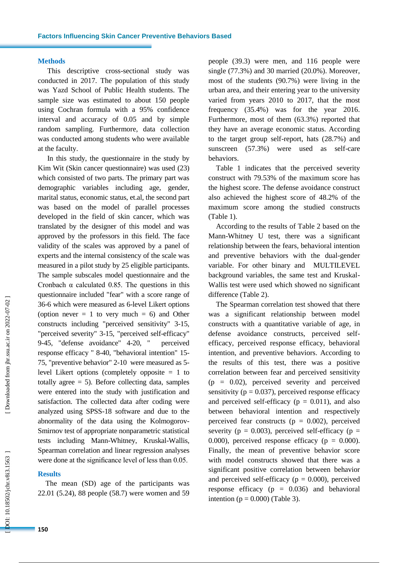#### **Methods**

This descriptive cross -sectional study was conducted in 2017. The population of this study was Yazd School of Public Health students. The sample size was estimated to about 150 people using Cochran formula with a 95% confidence interval and accuracy of 0.05 and by simple random sampling. Furthermore, data collection was conducted among students who were available at the faculty.

In this study, the questionnaire in the study by Kim Wit (Skin cancer questionnaire) was used (23) which consisted of two parts. The primary part was demographic variables including age, gender, marital status, economic status, et.al, the second part was based on the model of parallel processes developed in the field of skin cancer, which was translated by the designer of this model and was approved by the professors in this field. The face validity of the scales was approved by a panel of experts and the internal consistency of the scale was measured in a pilot study by 25 eligible participants. The sample subscales model questionnaire and the Cronbach  $\alpha$  calculated 0.85. The questions in this questionnaire include d "fear" with a score range of 36 -6 which were measured as 6 -level Likert options (option never  $= 1$  to very much  $= 6$ ) and Other constructs including "perceived sensitivity" 3 -15, "perceived severity" 3 -15, "perceived self-efficacy" 9 -45, "defense avoidance" 4 perceived response efficacy " 8 -40, "behavioral intention" 15 - 75, "preventive behavior" 2 -10 were measured as 5 level Likert options (completely opposite = 1 to totally agree  $= 5$ ). Before collecting data, samples were entered into the study with justification and satisfaction. The collected data after coding were analyzed using SPSS -18 software and due to the abnormality of the data using the Kolmogorov - Smirnov test of appropriate nonparametric statistical tests including Mann -Whitney, Kruskal -Wallis, Spearman correlation and linear regression analyses were done at the significance level of less than 0.05.

#### **Results**

The mean (SD) age of the participants was 22.01 (5.24 ), 88 people (58.7) were women and 59 people (39.3) were men, and 116 people were single (77.3%) and 30 married (20.0%). Moreover, most of the students (90.7%) were living in the urban area, and their entering year to the university varied from years 2010 to 2017, that the most frequency (35.4%) was for the year 2016. Furthermore, most of them (63.3%) reported that they have an average economic status. According to the target group self -report, hats (28.7%) and sunscreen (57.3%) were used as self-care behaviors.

Table 1 indicates that the perceived severity construct with 79.53% of the maximum score has the highest score. The defense avoidance construct also achieved the highest score of 48.2% of the maximum score among the studied constructs (Table 1).

According to the results of Table 2 based on the Mann -Whitney U test, there was a significant relationship between the fears, behavioral intention and preventive behaviors with the dual -gender variable. For other binary and MULTILEVEL background variables, the same test and Kruskal - Wallis test were used which showed no significant difference (Table 2).

The Spearman correlation test showed that there was a significant relationship between model constructs with a quantitative variable of age, in defense avoidance constructs, perceived self efficacy, perceived response efficacy, behavioral intention , and preventive behaviors. According to the results of this test, there was a positive correlation between fear and perceived sensitivity  $(p = 0.02)$ , perceived severity and perceived sensitivity ( $p = 0.037$ ), perceived response efficacy and perceived self-efficacy ( $p = 0.011$ ), and also between behavioral intention and respectively perceived fear constructs ( $p = 0.002$ ), perceived severity ( $p = 0.003$ ), perceived self-efficacy ( $p =$ 0.000), perceived response efficacy ( $p = 0.000$ ). Finally, the mean of preventive behavior score with model constructs showed that there was a significant positive correlation between behavior and perceived self-efficacy ( $p = 0.000$ ), perceived response efficacy ( $p = 0.036$ ) and behavioral intention ( $p = 0.000$ ) (Table 3).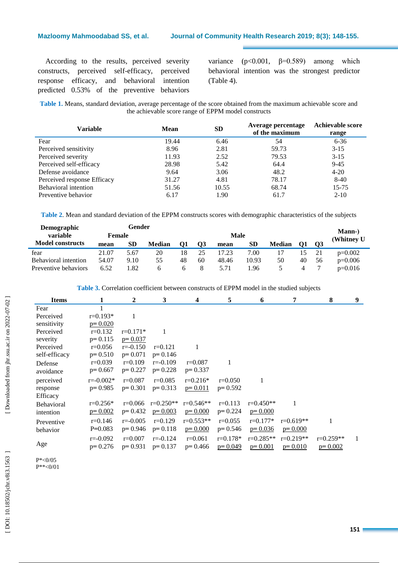#### **Mazloomy Mahmoodabad SS, et al**

According to the results, perceived severity constructs, perceived self -efficacy, perceived response efficacy, and behavioral intention predicted 0.53% of the preventive behaviors

variance  $(p<0.001, \beta=0.589)$  among which behavioral intention was the strongest predictor (Table 4).

**Table 1.** Means, standard deviation, average percentage of the score obtained from the maximum achievable score and the achievable score range of EPPM model constructs

| <b>Variable</b>             | Mean  | <b>SD</b> | Average percentage<br>of the maximum | <b>Achievable score</b><br>range |
|-----------------------------|-------|-----------|--------------------------------------|----------------------------------|
| Fear                        | 19.44 | 6.46      | 54                                   | $6 - 36$                         |
| Perceived sensitivity       | 8.96  | 2.81      | 59.73                                | $3-15$                           |
| Perceived severity          | 11.93 | 2.52      | 79.53                                | $3 - 15$                         |
| Perceived self-efficacy     | 28.98 | 5.42      | 64.4                                 | $9 - 45$                         |
| Defense avoidance           | 9.64  | 3.06      | 48.2                                 | $4 - 20$                         |
| Perceived response Efficacy | 31.27 | 4.81      | 78.17                                | $8-40$                           |
| <b>Behavioral intention</b> | 51.56 | 10.55     | 68.74                                | $15 - 75$                        |
| Preventive behavior         | 6.17  | 1.90      | 61.7                                 | $2 - 10$                         |

**Table 2**. Mean and standard deviation of the EPPM constructs scores with demographic characteristics of the subjects

| <b>Demographic</b>      |        | Gender |               |      |           |       |           |               |    | <b>Mann-</b> ) |            |
|-------------------------|--------|--------|---------------|------|-----------|-------|-----------|---------------|----|----------------|------------|
| variable                | Female |        |               | Male |           |       |           |               |    |                | (Whitney U |
| <b>Model constructs</b> | mean   | SD     | <b>Median</b> | O1   | <b>O3</b> | mean  | <b>SD</b> | <b>Median</b> | 01 | - 03           |            |
| fear                    | 21.07  | 5.67   | 20            | 18   | 25        | 17.23 | 7.00      |               |    | 21             | $p=0.002$  |
| Behavioral intention    | 54.07  | 9.10   | 55            | 48   | 60        | 48.46 | 10.93     | 50            | 40 | 56             | $p=0.006$  |
| Preventive behaviors    | 6.52   | .82    |               |      |           | 5.71  | 1.96      |               |    |                | $p=0.016$  |

**Table 3.** Correlation coefficient between constructs of EPPM model in the studied subjects

| <b>Items</b>  |               | $\mathbf{2}$ | 3            | 4           | 5            | 6             | 7           | 8           | 9 |
|---------------|---------------|--------------|--------------|-------------|--------------|---------------|-------------|-------------|---|
| Fear          |               |              |              |             |              |               |             |             |   |
| Perceived     | $r=0.193*$    | 1            |              |             |              |               |             |             |   |
| sensitivity   | $p=0.020$     |              |              |             |              |               |             |             |   |
| Perceived     | $r=0.132$     | $r=0.171*$   | 1            |             |              |               |             |             |   |
| severity      | $p=0.115$     | $p=0.037$    |              |             |              |               |             |             |   |
| Perceived     | $r=0.056$     | $r = -0.150$ | $r=0.121$    | 1           |              |               |             |             |   |
| self-efficacy | $p=0.510$     | $p=0.071$    | $p=0.146$    |             |              |               |             |             |   |
| Defense       | $r=0.039$     | $r=0.109$    | $r = -0.109$ | $r=0.087$   | 1            |               |             |             |   |
| avoidance     | $p=0.667$     | $p=0.227$    | $p=0.228$    | $p=0.337$   |              |               |             |             |   |
| perceived     | $r = -0.002*$ | $r = 0.087$  | $r=0.085$    | $r=0.216*$  | $r=0.050$    | 1             |             |             |   |
| response      | $p=0.985$     | $p=0.301$    | $p=0.313$    | $p=0.011$   | $p=0.592$    |               |             |             |   |
| Efficacy      |               |              |              |             |              |               |             |             |   |
| Behavioral    | $r=0.256*$    | $r=0.066$    | $r=0.250**$  | $r=0.546**$ | $r=0.113$    | $r = 0.450**$ |             |             |   |
| intention     | $p=0.002$     | $p=0.432$    | $p=0.003$    | $p=0.000$   | $p=0.224$    | $p=0.000$     |             |             |   |
| Preventive    | $r=0.146$     | $r = -0.005$ | $r=0.129$    | $r=0.553**$ | $r=0.055$    | $r=0.177*$    | $r=0.619**$ |             |   |
| behavior      | $P=0.083$     | $p=0.946$    | $p=0.118$    | $p=0.000$   | $p=0.546$    | $p = 0.036$   | $p=0.000$   |             |   |
|               | $r = -0.092$  | $r = 0.007$  | $r = -0.124$ | $r=0.061$   | $r = 0.178*$ | $r=0.285**$   | $r=0.219**$ | $r=0.259**$ | 1 |
| Age           | $p=0.276$     | $p=0.931$    | $p=0.137$    | $p=0.466$   | $p=0.049$    | $p=0.001$     | $p=0.010$   | $p=0.002$   |   |
|               |               |              |              |             |              |               |             |             |   |

P\*<0/05 P\*\*<0/01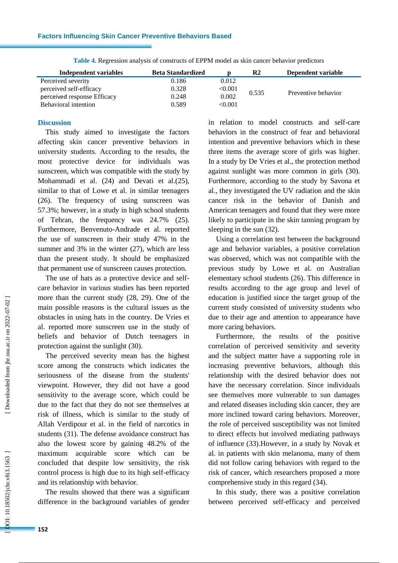| Independent variables       | <b>Beta Standardized</b> |         | $\mathbf{R}2$ | Dependent variable  |
|-----------------------------|--------------------------|---------|---------------|---------------------|
| Perceived severity          | 0.186                    | 0.012   |               |                     |
| perceived self-efficacy     | 0.328                    | < 0.001 | 0.535         | Preventive behavior |
| perceived response Efficacy | 0.248                    | 0.002   |               |                     |
| Behavioral intention        | 0.589                    | < 0.001 |               |                     |

**Table 4.** Regression analysis of constructs of EPPM model as skin cancer behavior predictors

#### **Discussion**

This study aimed to investigate the factors affecting skin cancer preventive behaviors in university students. According to the results, the most protective device for individuals was sunscreen, which was compatible with the study by Mohammadi et al. (24) and Devati et al.(25), similar to that of Lowe et al. in similar teenagers (26). The frequency of using sunscreen was 57.3%; however, in a study in high school students of Tehran, the frequency was 24.7% (25). Furthermore, Benvenuto -Andrade et al. reported the use of sunscreen in their study 47% in the summer and 3% in the winter (27), which are less than the present study. It should be emphasized that permanent use of sunscreen causes protection.

The use of hats as a protective device and selfcare behavior in various studies has been reported more than the current study (28, 29). One of the main possible reasons is the cultural issues as the obstacles in using hats in the country. De Vries et al. reported more sunscreen use in the study of beliefs and behavior of Dutch teenagers in protection against the sunlight (30) .

The perceived severity mean has the highest score among the constructs which indicates the seriousness of the disease from the students' viewpoint. However, they did not have a good sensitivity to the average score, which could be due to the fact that they do not see themselves at risk of illness, which is similar to the study of Allah Verdipour et al. in the field of narcotics in students (31). The defense avoidance construct has also the lowest score by gaining 48.2% of the maximum acquirable score which can be concluded that despite low sensitivity, the risk control process is high due to its high self -efficacy and its relationship with behavior.

The results showed that there was a significant difference in the background variables of gender

in relation to model constructs and self -care behaviors in the construct of fear and behavioral intention and preventive behaviors which in these three items the average score of girls was higher. In a study by De Vries et al., the protection method against sunlight was more common in girls (30). Furthermore, according to the study by Savona et al., they investigated the UV radiation and the skin cancer risk in the behavior of Danish and American teenagers and found that they were more likely to participate in the skin tanning program by sleeping in the sun (32).

Using a correlation test between the background age and behavior variables, a positive correlation was observed, which was not compatible with the previous study by Lowe et al. on Australian elementary school students (26). This difference in results according to the age group and level of education is justified since the target group of the current study consisted of university students who due to their age and attention to appearance have more caring behaviors.

Furthermore, the results of the positive correlation of perceived sensitivity and severity and the subject matter have a supporting role in increasing preventive behaviors, although this relationship with the desired behavior does not have the necessary correlation. Since individuals see themselves more vulnerable to sun damages and related diseases including skin cancer, they are more inclined toward caring behaviors. Moreover , the role of perceived susceptibility was not limited to direct effects but involved mediating pathways of influence (33).However, in a study by Novak et al. in patients with skin melanoma, many of them did not follow caring behaviors with regard to the risk of cancer, which researchers proposed a more comprehensive study in this regard (34) .

In this study, there was a positive correlation between perceived self -efficacy and perceived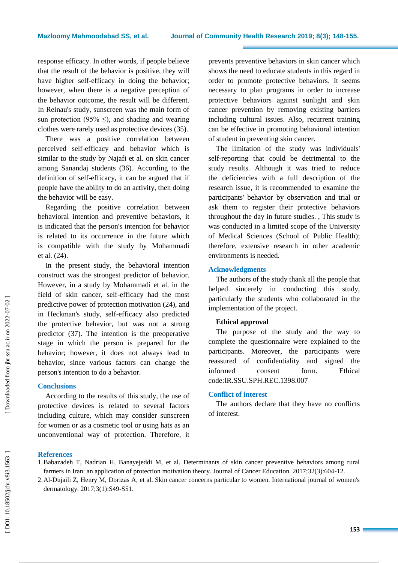response efficacy. In other words, if people believe that the result of the behavior is positive, they will have higher self-efficacy in doing the behavior; however, when there is a negative perception of the behavior outcome, the result will be different. In Reinau's study, sunscreen was the main form of sun protection (95%  $\leq$ ), and shading and wearing clothes were rarely used as protective devices (35) .

There was a positive correlation between perceived self-efficacy and behavior which is similar to the study by Najafi et al. on skin cancer among Sanandaj students (36). According to the definition of self-efficacy, it can be argued that if people have the ability to do an activity, then doing the behavior will be easy.

Regarding the positive correlation between behavioral intention and preventive behaviors, it is indicated that the person's intention for behavior is related to its occurrence in the future which is compatible with the study by Mohammadi et al. (24) .

In the present study, the behavioral intention construct was the strongest predictor of behavior. However, in a study by Mohammadi et al. in the field of skin cancer, self -efficacy had the most predictive power of protection motivation (24), and in Heckman's study, self -efficacy also predicted the protective behavior, but was not a strong predictor (37). The intention is the preoperative stage in which the person is prepared for the behavior; however, it does not always lead to behavior, since various factors can change the person's intention to do a behavior.

#### **Conclusions**

According to the results of this study, the use of protective devices is related to several factors including culture, which may consider sunscreen for women or as a cosmetic tool or using hats as an unconventional way of protection. Therefore, it prevents preventive behaviors in skin cancer which shows the need to educate students in this regard in order to promote protective behaviors . It seems necessary to plan programs in order to increase protective behaviors against sunlight and skin cancer prevention by removing existing barriers including cultural issues. Also , recurrent training can be effective in promoting behavioral intention of student in preventing skin cancer.

The limitation of the study was individuals' self-reporting that could be detrimental to the study results. Although it was tried to reduce the deficiencies with a full description of the research issue, it is recommended to examine the participants' behavior by observation and trial or ask them to register their protective behaviors throughout the day in future studies. , This study is was conducted in a limited scope of the University of Medical Sciences (School of Public Health); therefore, extensive research in other academic environments is needed.

#### **Acknowledgments**

The authors of the study thank all the people that helped sincerely in conducting this study, particularly the students who collaborated in the implementation of the project.

#### **Ethical approval**

The purpose of the study and the way to complete the questionnaire were explained to the participants. Moreover , the participants were reassured of confidentiality and signed the informed consent form. Ethical code:IR.SSU.SPH.REC.1398.007

#### **Conflict of interest**

The authors declare that they have no conflicts of interest.

#### **References**

1.Babazadeh T, Nadrian H, Banayejeddi M, et al. Determinants of skin cancer preventive behaviors among rural farmers in Iran: an application of protection motivation theory. Journal of Cancer Education. 2017;32(3):604 -12.

2.Al -Dujaili Z, Henry M, Dorizas A, et al. Skin cancer concerns particular to women. International journal of women's dermatology. 2017;3(1):S49 -S51.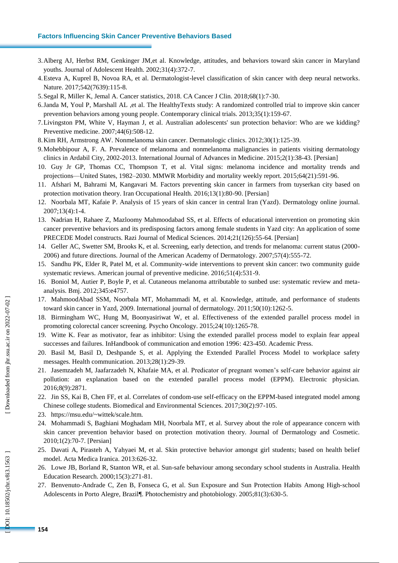#### **Factors Influencing Skin Cancer Preventive Behaviors Based**

- 3.Alberg AJ, Herbst RM, Genkinger JM,et al. Knowledge, attitudes, and behaviors toward skin cancer in Maryland youths. Journal of Adolescent Health. 2002;31(4):372 -7.
- 4.Esteva A, Kuprel B, Novoa RA, et al. Dermatologist -level classification of skin cancer with deep neural networks. Nature. 2017;542(7639):115 -8.
- 5.Segal R, Miller K, Jemal A. Cancer statistics, 2018. CA Cancer J Clin. 2018;68(1):7 -30.
- 6.Janda M, Youl P, Marshall AL ,et al. The HealthyTexts study: A randomized controlled trial to improve skin cancer prevention behaviors among young people. Contemporary clinical trials. 2013;35(1):159 -67.
- 7.Livingston PM, White V, Hayman J, et al. Australian adolescents' sun protection behavior: Who are we kidding? Preventive medicine. 2007;44(6):508 -12.
- 8.Kim RH, Armstrong AW. Nonmelanoma skin cancer. Dermatologic clinics. 2012;30(1):125 -39.
- 9.Mohebbipour A, F. A. Prevalence of melanoma and nonmelanoma malignancies in patients visiting dermatology clinics in Ardabil City, 2002 -2013. International Journal of Advances in Medicine. 2015;2(1):38 -43. [Persian]
- 10. Guy Jr GP, Thomas CC, Thompson T, et al. Vital signs: melanoma incidence and mortality trends and projections —United States, 1982 –2030. MMWR Morbidity and mortality weekly report. 2015;64(21):591 -96.
- 11. Afshari M, Bahrami M, Kangavari M. Factors preventing skin cancer in farmers from tuyserkan city based on protection motivation theory. Iran Occupational Health. 2016;13(1):80-90. [Persian]
- 12. Noorbala MT, Kafaie P. Analysis of 15 years of skin cancer in central Iran (Yazd). Dermatology online journal. 2007;13(4):1 -4.
- 13. Nadrian H, Rahaee Z, Mazloomy Mahmoodabad SS, et al. Effects of educational intervention on promoting skin cancer preventive behaviors and its predisposing factors among female students in Yazd city: An application of some PRECEDE Model constructs. Razi Journal of Medical Sciences. 2014;21(126):55 -64. [Persian]
- 14. Geller AC, Swetter SM, Brooks K, et al. Screening, early detection, and trends for melanoma: current status (2000 2006) and future directions. Journal of the American Academy of Dermatology. 2007;57(4):555 -72.
- 15. Sandhu PK, Elder R, Patel M, et al. Community -wide interventions to prevent skin cancer: two community guide systematic reviews. American journal of preventive medicine. 2016;51(4):531-9.
- 16. Boniol M, Autier P, Boyle P, et al. Cutaneous melanoma attributable to sunbed use: systematic review and meta analysis. Bmj. 2012;345:e4757.
- 17. MahmoodAbad SSM, Noorbala MT, Mohammadi M, et al. Knowledge, attitude, and performance of students toward skin cancer in Yazd, 2009. International journal of dermatology. 2011;50(10):1262 -5.
- 18. Birmingham WC, Hung M, Boonyasiriwat W, et al. Effectiveness of the extended parallel process model in promoting colorectal cancer screening. Psycho Oncology. 2015;24(10):1265 -78.
- 19. Witte K. Fear as motivator, fear as inhibitor: Using the extended parallel process model to explain fear appeal successes and failures. InHandbook of communication and emotion 1996: 423-450. Academic Press.
- 20. Basil M, Basil D, Deshpande S, et al. Applying the Extended Parallel Process Model to workplace safety messages. Health communication. 2013;28(1):29 -39.
- 21. Jasemzadeh M, Jaafarzadeh N, Khafaie MA, et al. Predicator of pregnant women's self-care behavior against air pollution: an explanation based on the extended parallel process model (EPPM). Electronic physician. 2016;8(9):2871.
- 22. Jin SS, Kai B, Chen FF, et al. Correlates of condom -use self-efficacy on the EPPM -based integrated model among Chinese college students. Biomedical and Environmental Sciences. 2017;30(2):97 -105.
- 23. https://msu.edu/~wittek/scale.htm.
- 24. Mohammadi S, Baghiani Moghadam MH, Noorbala MT, et al. Survey about the role of appearance concern with skin cancer prevention behavior based on protection motivation theory. Journal of Dermatology and Cosmetic. 2010;1(2):70 -7. [Persian]
- 25. Davati A, Pirasteh A, Yahyaei M, et al. Skin protective behavior amongst girl students; based on health belief model. Acta Medica Iranica. 2013:626 -32.
- 26. Lowe JB, Borland R, Stanton WR, et al. Sun -safe behaviour among secondary school students in Australia. Health Education Research. 2000;15(3):271 -81.
- 27. Benvenuto-Andrade C, Zen B, Fonseca G, et al. Sun Exposure and Sun Protection Habits Among High-school Adolescents in Porto Alegre, Brazil ¶. Photochemistry and photobiology. 2005;81(3):630 -5.